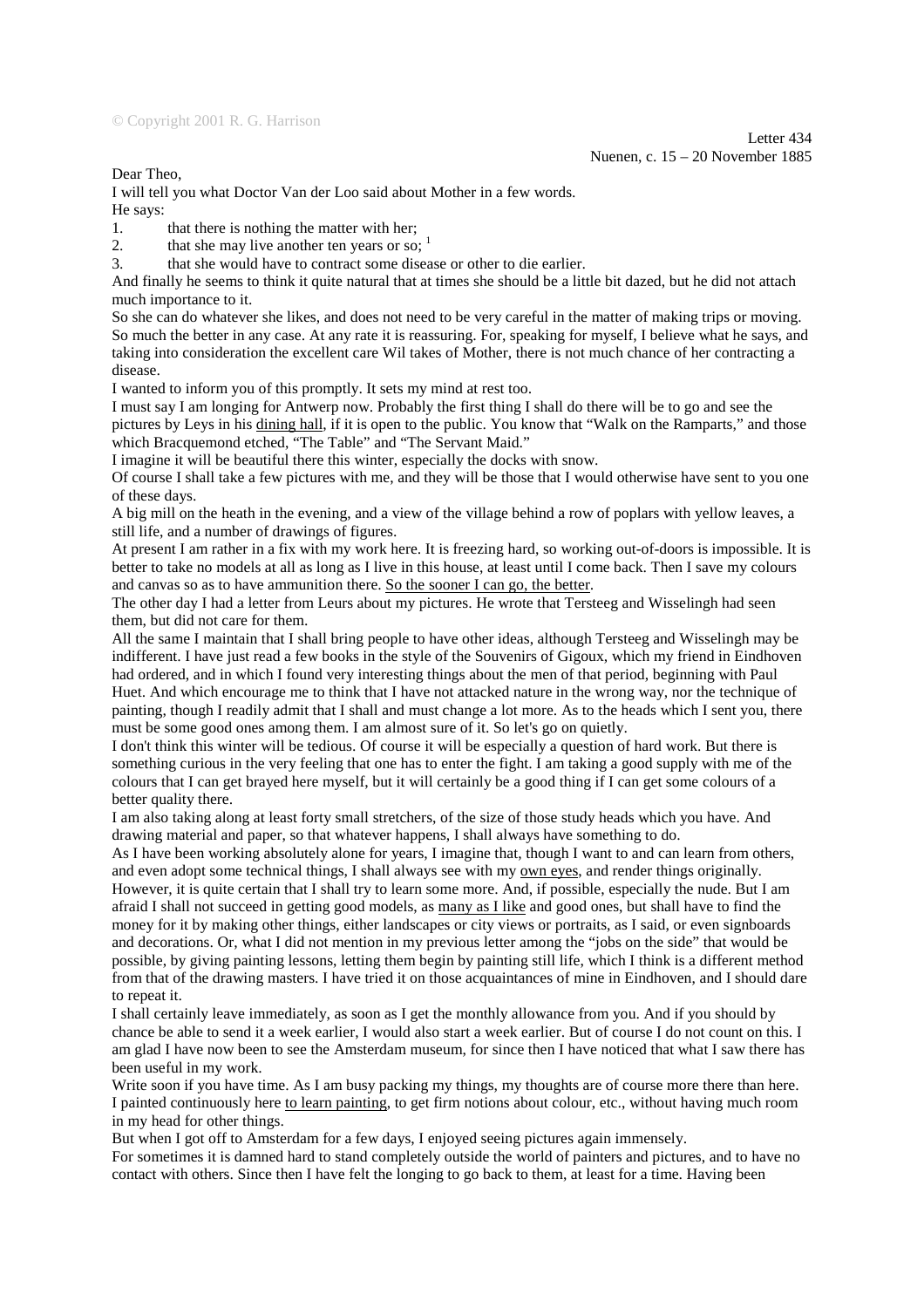## © Copyright 2001 R. G. Harrison

Dear Theo,

I will tell you what Doctor Van der Loo said about Mother in a few words.

He says:

1. that there is nothing the matter with her;

2. that she may live another ten years or so;  $<sup>1</sup>$ </sup>

3. that she would have to contract some disease or other to die earlier.

And finally he seems to think it quite natural that at times she should be a little bit dazed, but he did not attach much importance to it.

So she can do whatever she likes, and does not need to be very careful in the matter of making trips or moving. So much the better in any case. At any rate it is reassuring. For, speaking for myself, I believe what he says, and taking into consideration the excellent care Wil takes of Mother, there is not much chance of her contracting a disease.

I wanted to inform you of this promptly. It sets my mind at rest too.

I must say I am longing for Antwerp now. Probably the first thing I shall do there will be to go and see the pictures by Leys in his dining hall, if it is open to the public. You know that "Walk on the Ramparts," and those which Bracquemond etched, "The Table" and "The Servant Maid."

I imagine it will be beautiful there this winter, especially the docks with snow.

Of course I shall take a few pictures with me, and they will be those that I would otherwise have sent to you one of these days.

A big mill on the heath in the evening, and a view of the village behind a row of poplars with yellow leaves, a still life, and a number of drawings of figures.

At present I am rather in a fix with my work here. It is freezing hard, so working out-of-doors is impossible. It is better to take no models at all as long as I live in this house, at least until I come back. Then I save my colours and canvas so as to have ammunition there. So the sooner I can go, the better.

The other day I had a letter from Leurs about my pictures. He wrote that Tersteeg and Wisselingh had seen them, but did not care for them.

All the same I maintain that I shall bring people to have other ideas, although Tersteeg and Wisselingh may be indifferent. I have just read a few books in the style of the Souvenirs of Gigoux, which my friend in Eindhoven had ordered, and in which I found very interesting things about the men of that period, beginning with Paul Huet. And which encourage me to think that I have not attacked nature in the wrong way, nor the technique of painting, though I readily admit that I shall and must change a lot more. As to the heads which I sent you, there must be some good ones among them. I am almost sure of it. So let's go on quietly.

I don't think this winter will be tedious. Of course it will be especially a question of hard work. But there is something curious in the very feeling that one has to enter the fight. I am taking a good supply with me of the colours that I can get brayed here myself, but it will certainly be a good thing if I can get some colours of a better quality there.

I am also taking along at least forty small stretchers, of the size of those study heads which you have. And drawing material and paper, so that whatever happens, I shall always have something to do.

As I have been working absolutely alone for years, I imagine that, though I want to and can learn from others, and even adopt some technical things, I shall always see with my own eyes, and render things originally. However, it is quite certain that I shall try to learn some more. And, if possible, especially the nude. But I am afraid I shall not succeed in getting good models, as many as I like and good ones, but shall have to find the money for it by making other things, either landscapes or city views or portraits, as I said, or even signboards and decorations. Or, what I did not mention in my previous letter among the "jobs on the side" that would be possible, by giving painting lessons, letting them begin by painting still life, which I think is a different method from that of the drawing masters. I have tried it on those acquaintances of mine in Eindhoven, and I should dare to repeat it.

I shall certainly leave immediately, as soon as I get the monthly allowance from you. And if you should by chance be able to send it a week earlier, I would also start a week earlier. But of course I do not count on this. I am glad I have now been to see the Amsterdam museum, for since then I have noticed that what I saw there has been useful in my work.

Write soon if you have time. As I am busy packing my things, my thoughts are of course more there than here. I painted continuously here to learn painting, to get firm notions about colour, etc., without having much room in my head for other things.

But when I got off to Amsterdam for a few days, I enjoyed seeing pictures again immensely.

For sometimes it is damned hard to stand completely outside the world of painters and pictures, and to have no contact with others. Since then I have felt the longing to go back to them, at least for a time. Having been